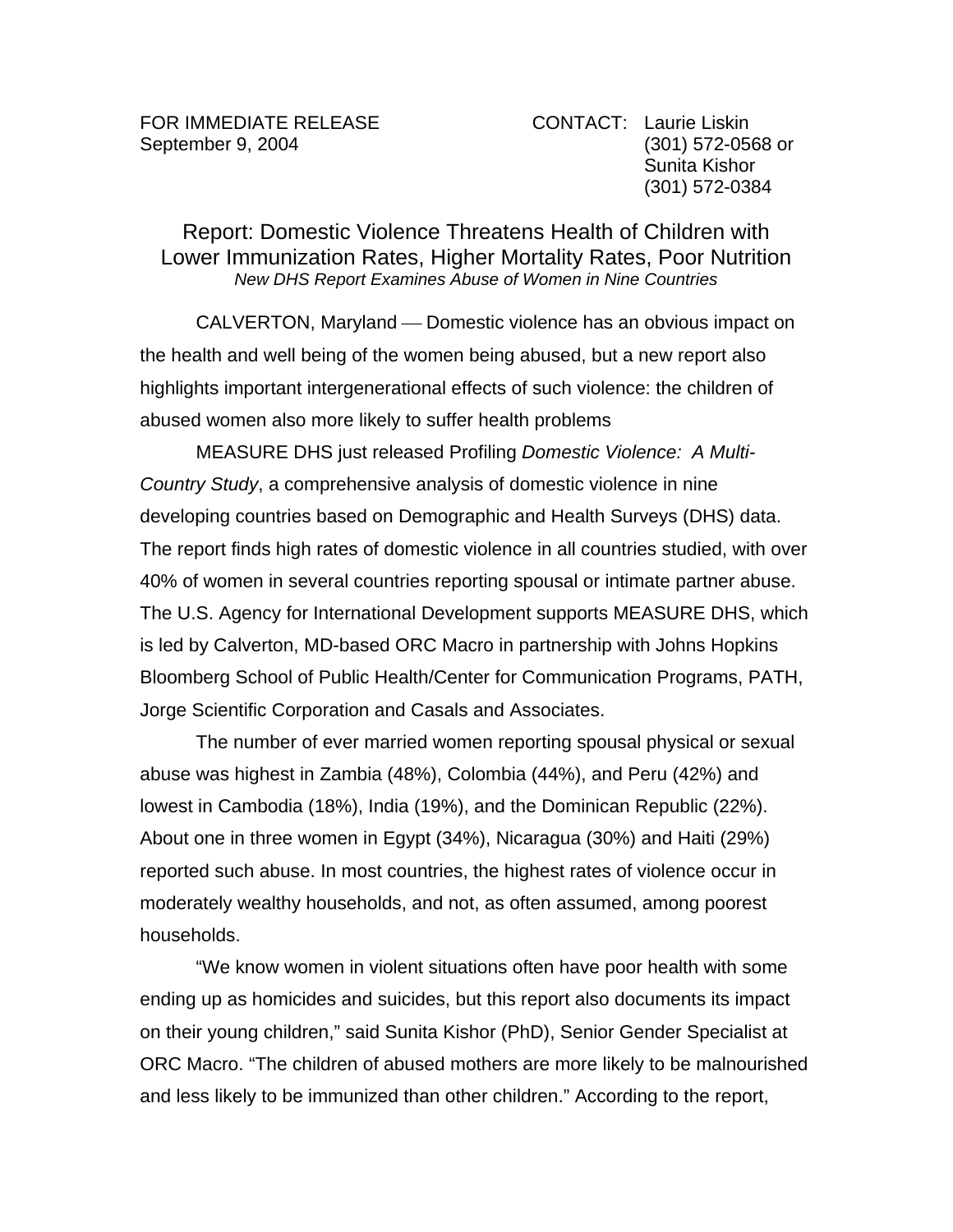## Report: Domestic Violence Threatens Health of Children with Lower Immunization Rates, Higher Mortality Rates, Poor Nutrition *New DHS Report Examines Abuse of Women in Nine Countries*

CALVERTON, Maryland — Domestic violence has an obvious impact on the health and well being of the women being abused, but a new report also highlights important intergenerational effects of such violence: the children of abused women also more likely to suffer health problems

MEASURE DHS just released Profiling *Domestic Violence: A Multi-Country Study*, a comprehensive analysis of domestic violence in nine developing countries based on Demographic and Health Surveys (DHS) data. The report finds high rates of domestic violence in all countries studied, with over 40% of women in several countries reporting spousal or intimate partner abuse. The U.S. Agency for International Development supports MEASURE DHS, which is led by Calverton, MD-based ORC Macro in partnership with Johns Hopkins Bloomberg School of Public Health/Center for Communication Programs, PATH, Jorge Scientific Corporation and Casals and Associates.

The number of ever married women reporting spousal physical or sexual abuse was highest in Zambia (48%), Colombia (44%), and Peru (42%) and lowest in Cambodia (18%), India (19%), and the Dominican Republic (22%). About one in three women in Egypt (34%), Nicaragua (30%) and Haiti (29%) reported such abuse. In most countries, the highest rates of violence occur in moderately wealthy households, and not, as often assumed, among poorest households.

"We know women in violent situations often have poor health with some ending up as homicides and suicides, but this report also documents its impact on their young children," said Sunita Kishor (PhD), Senior Gender Specialist at ORC Macro. "The children of abused mothers are more likely to be malnourished and less likely to be immunized than other children." According to the report,